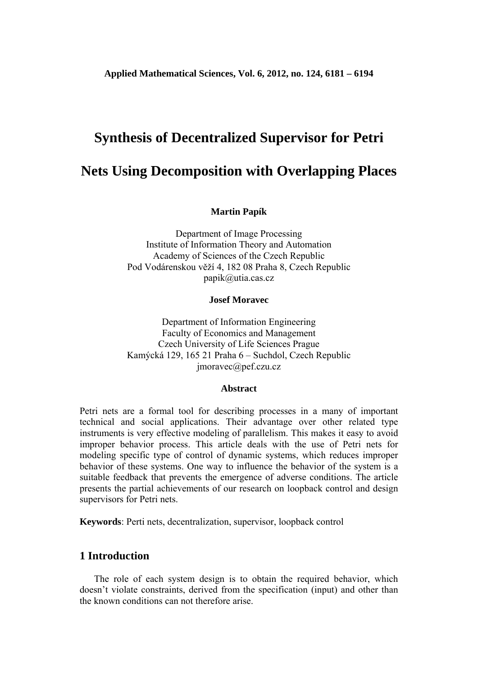# **Synthesis of Decentralized Supervisor for Petri**

# **Nets Using Decomposition with Overlapping Places**

**Martin Papík** 

Department of Image Processing Institute of Information Theory and Automation Academy of Sciences of the Czech Republic Pod Vodárenskou věží 4, 182 08 Praha 8, Czech Republic papik@utia.cas.cz

### **Josef Moravec**

Department of Information Engineering Faculty of Economics and Management Czech University of Life Sciences Prague Kamýcká 129, 165 21 Praha 6 – Suchdol, Czech Republic jmoravec@pef.czu.cz

### **Abstract**

Petri nets are a formal tool for describing processes in a many of important technical and social applications. Their advantage over other related type instruments is very effective modeling of parallelism. This makes it easy to avoid improper behavior process. This article deals with the use of Petri nets for modeling specific type of control of dynamic systems, which reduces improper behavior of these systems. One way to influence the behavior of the system is a suitable feedback that prevents the emergence of adverse conditions. The article presents the partial achievements of our research on loopback control and design supervisors for Petri nets.

**Keywords**: Perti nets, decentralization, supervisor, loopback control

### **1 Introduction**

 The role of each system design is to obtain the required behavior, which doesn't violate constraints, derived from the specification (input) and other than the known conditions can not therefore arise.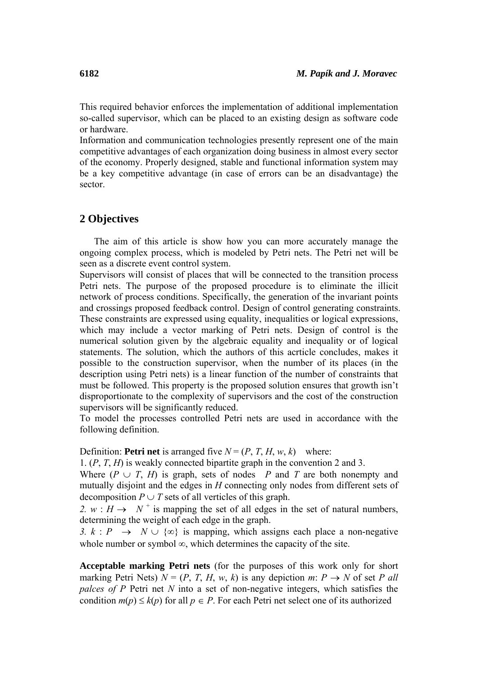This required behavior enforces the implementation of additional implementation so-called supervisor, which can be placed to an existing design as software code or hardware.

Information and communication technologies presently represent one of the main competitive advantages of each organization doing business in almost every sector of the economy. Properly designed, stable and functional information system may be a key competitive advantage (in case of errors can be an disadvantage) the sector.

## **2 Objectives**

 The aim of this article is show how you can more accurately manage the ongoing complex process, which is modeled by Petri nets. The Petri net will be seen as a discrete event control system.

Supervisors will consist of places that will be connected to the transition process Petri nets. The purpose of the proposed procedure is to eliminate the illicit network of process conditions. Specifically, the generation of the invariant points and crossings proposed feedback control. Design of control generating constraints. These constraints are expressed using equality, inequalities or logical expressions, which may include a vector marking of Petri nets. Design of control is the numerical solution given by the algebraic equality and inequality or of logical statements. The solution, which the authors of this acrticle concludes, makes it possible to the construction supervisor, when the number of its places (in the description using Petri nets) is a linear function of the number of constraints that must be followed. This property is the proposed solution ensures that growth isn't disproportionate to the complexity of supervisors and the cost of the construction supervisors will be significantly reduced.

To model the processes controlled Petri nets are used in accordance with the following definition.

Definition: **Petri net** is arranged five  $N = (P, T, H, w, k)$  where:

1. (*P*, *T*, *H*) is weakly connected bipartite graph in the convention 2 and 3.

Where  $(P \cup T, H)$  is graph, sets of nodes *P* and *T* are both nonempty and mutually disjoint and the edges in *H* connecting only nodes from different sets of decomposition  $P \cup T$  sets of all verticles of this graph.

2.  $w : H \to N^+$  is mapping the set of all edges in the set of natural numbers, determining the weight of each edge in the graph.

*3. k* : *P* → *N* ∪ {∞} is mapping, which assigns each place a non-negative whole number or symbol  $\infty$ , which determines the capacity of the site.

**Acceptable marking Petri nets** (for the purposes of this work only for short marking Petri Nets)  $N = (P, T, H, w, k)$  is any depiction  $m: P \rightarrow N$  of set P all *palces of P* Petri net *N* into a set of non-negative integers, which satisfies the condition  $m(p) \leq k(p)$  for all  $p \in P$ . For each Petri net select one of its authorized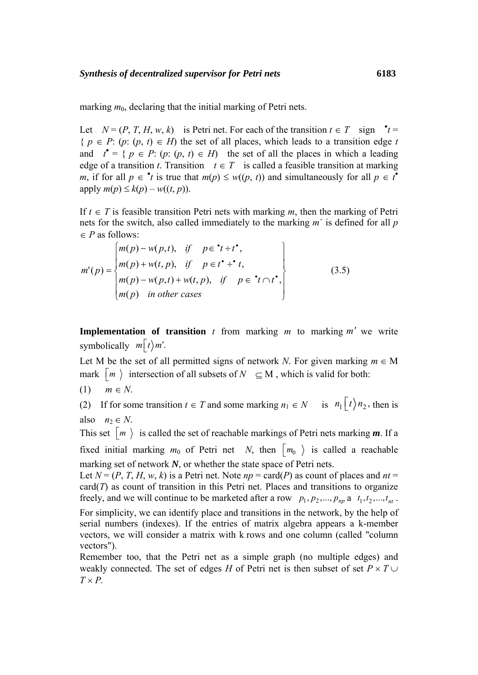marking  $m_0$ , declaring that the initial marking of Petri nets.

Let  $N = (P, T, H, w, k)$  is Petri net. For each of the transition  $t \in T$  sign  $\mathbf{r} =$  ${ p \in P : (p; (p, t) \in H) \text{ the set of all places, which leads to a transition edge } t }$ and  $t' = \{ p \in P : (p : (p, t) \in H) \}$  the set of all the places in which a leading edge of a transition *t*. Transition  $t \in T$  is called a feasible transition at marking *m*, if for all  $p \in \text{A}$  *t* is true that  $m(p) \leq w((p, t))$  and simultaneously for all  $p \in t^{\infty}$  $an{p} \leq k(p) - w((t, p)).$ 

If *t* ∈ *T* is feasible transition Petri nets with marking *m*, then the marking of Petri nets for the switch, also called immediately to the marking *m*´ is defined for all *p* ∈ *P* as follows:

$$
m'(p) = \begin{cases} m(p) - w(p, t), & \text{if } p \in \mathbf{t} + t^*, \\ m(p) + w(t, p), & \text{if } p \in t^* \div t, \\ m(p) - w(p, t) + w(t, p), & \text{if } p \in \mathbf{t} \cap t^*, \\ m(p) & \text{in other cases} \end{cases}
$$
(3.5)

**Implementation of transition**  $t$  from marking  $m$  to marking  $m'$  we write symbolically  $m|t\rangle m'$ .

Let M be the set of all permitted signs of network *N*. For given marking  $m \in M$ mark  $\lceil m \rceil$  intersection of all subsets of  $N \subset M$ , which is valid for both:

(1) *m* ∈ *N*.

(2) If for some transition  $t \in T$  and some marking  $n_1 \in N$  is  $n_1 \lceil t \rangle n_2$ , then is also  $n_2 \in N$ .

This set  $\lceil m \rceil$  is called the set of reachable markings of Petri nets marking *m*. If a fixed initial marking  $m_0$  of Petri net *N*, then  $\lfloor m_0 \rfloor$  is called a reachable marking set of network *N*, or whether the state space of Petri nets.

Let  $N = (P, T, H, w, k)$  is a Petri net. Note  $np = \text{card}(P)$  as count of places and  $nt =$  $card(T)$  as count of transition in this Petri net. Places and transitions to organize freely, and we will continue to be marketed after a row  $p_1, p_2, ..., p_{np}$  a  $t_1, t_2, ..., t_{nt}$ .

For simplicity, we can identify place and transitions in the network, by the help of serial numbers (indexes). If the entries of matrix algebra appears a k-member vectors, we will consider a matrix with k rows and one column (called "column vectors").

Remember too, that the Petri net as a simple graph (no multiple edges) and weakly connected. The set of edges *H* of Petri net is then subset of set  $P \times T \cup$  $T \times P$ .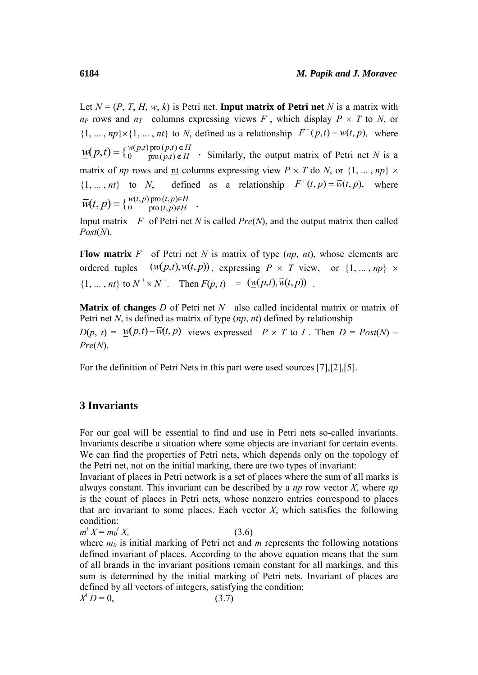Let  $N = (P, T, H, w, k)$  is Petri net. **Input matrix of Petri net** N is a matrix with  $n_P$  rows and  $n_T$  columns expressing views  $F$ , which display  $P \times T$  to *N*, or  $\{1, \ldots, np\} \times \{1, \ldots, nt\}$  to *N*, defined as a relationship  $F^-(p,t) = w(t, p)$ , where  $\underline{w}(p,t) = \{w(p,t) \text{ pro } (p,t) \in H \text{ for } p(t) \neq p \text{ for } (p,t) \in H \text{ for } p(t) \neq 0 \text{ for } t \neq 0 \text{ for } t \neq 0 \text{ for } t \neq 0 \text{ for } t \neq 0 \text{ for } t \neq 0 \text{ for } t \neq 0 \text{ for } t \neq 0 \text{ for } t \neq 0 \text{ for } t \neq 0 \text{ for } t \neq 0 \text{ for } t \neq 0 \text{ for } t \neq 0 \text{ for } t \neq 0 \text{ for } t \neq 0 \$ matrix of *np* rows and <u>nt</u> columns expressing view  $P \times T$  do *N*, or  $\{1, ..., np\} \times$  $\{1, ..., nt\}$  to *N*, defined as a relationship  $F^+(t, p) = \overline{w}(t, p)$ , where  $\overline{w}(t, p) = \left\{ \begin{matrix} w(t, p) \text{ pro } (t, p) \in H \\ 0 \text{ pro } (t, p) \notin H \end{matrix} \right.$ 

Input matrix  $F$  of Petri net *N* is called *Pre*(*N*), and the output matrix then called *Post*(*N*).

**Flow matrix**  $F$  of Petri net  $N$  is matrix of type  $(np, nt)$ , whose elements are ordered tuples  $(w(p,t), \overline{w}(t, p))$ , expressing  $P \times T$  view, or  $\{1, \ldots, np\} \times$  $\{1, ..., nt\}$  to  $N^+ \times N^+$ . Then  $F(p, t) = (\underline{w}(p, t), \overline{w}(t, p))$ .

**Matrix of changes** *D* of Petri net *N* also called incidental matrix or matrix of Petri net *N*, is defined as matrix of type (*np*, *nt*) defined by relationship

 $D(p, t) = W(p,t) - \overline{W}(t, p)$  views expressed  $P \times T$  to *I*. Then  $D = Post(N) -$ *Pre*(*N*).

For the definition of Petri Nets in this part were used sources [7],[2],[5].

## **3 Invariants**

For our goal will be essential to find and use in Petri nets so-called invariants. Invariants describe a situation where some objects are invariant for certain events. We can find the properties of Petri nets, which depends only on the topology of the Petri net, not on the initial marking, there are two types of invariant:

Invariant of places in Petri network is a set of places where the sum of all marks is always constant. This invariant can be described by a *np* row vector *X*, where *np* is the count of places in Petri nets, whose nonzero entries correspond to places that are invariant to some places. Each vector  $X$ , which satisfies the following condition:

 $m^t X = m_0^t$  $(3.6)$ 

where  $m_0$  is initial marking of Petri net and  $m$  represents the following notations defined invariant of places. According to the above equation means that the sum of all brands in the invariant positions remain constant for all markings, and this sum is determined by the initial marking of Petri nets. Invariant of places are defined by all vectors of integers, satisfying the condition:

 $X^t D = 0,$  (3.7)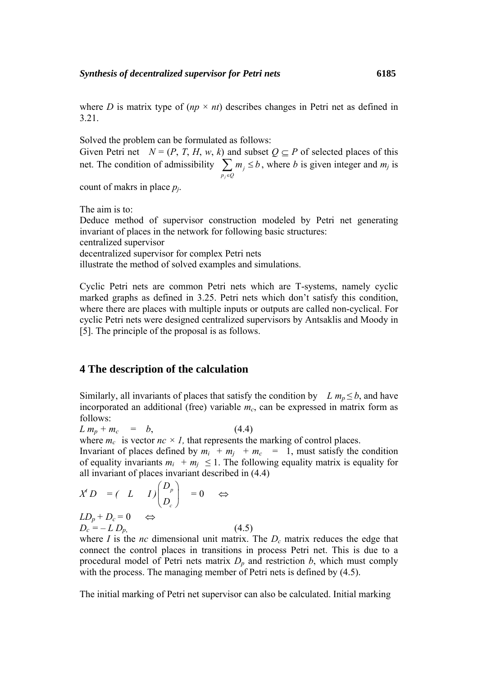where *D* is matrix type of  $(np \times nt)$  describes changes in Petri net as defined in 3.21.

Solved the problem can be formulated as follows:

Given Petri net  $N = (P, T, H, w, k)$  and subset  $Q \subseteq P$  of selected places of this net. The condition of admissibility *j j*  $p_i \in Q$  $m_i \leq b$  $\sum_{p_j \in Q} m_j \le b$ , where *b* is given integer and  $m_j$  is

count of makrs in place *pj*.

The aim is to:

Deduce method of supervisor construction modeled by Petri net generating invariant of places in the network for following basic structures: centralized supervisor

decentralized supervisor for complex Petri nets

illustrate the method of solved examples and simulations.

Cyclic Petri nets are common Petri nets which are T-systems, namely cyclic marked graphs as defined in 3.25. Petri nets which don't satisfy this condition, where there are places with multiple inputs or outputs are called non-cyclical. For cyclic Petri nets were designed centralized supervisors by Antsaklis and Moody in [5]. The principle of the proposal is as follows.

# **4 The description of the calculation**

Similarly, all invariants of places that satisfy the condition by *L*  $m_p \leq b$ , and have incorporated an additional (free) variable  $m<sub>c</sub>$ , can be expressed in matrix form as follows:

 $L m_p + m_c = b$ , (4.4)

where  $m_c$  is vector  $nc \times l$ , that represents the marking of control places.

Invariant of places defined by  $m_i + m_j + m_c = 1$ , must satisfy the condition of equality invariants  $m_i + m_j \leq 1$ . The following equality matrix is equality for all invariant of places invariant described in (4.4)

$$
X^{t} D = (L I) \begin{pmatrix} D_{p} \\ D_{c} \end{pmatrix} = 0 \Leftrightarrow
$$

 $LD_p + D_c = 0 \Leftrightarrow$  $D_c = - L D_p$ , (4.5)

where *I* is the *nc* dimensional unit matrix. The  $D_c$  matrix reduces the edge that connect the control places in transitions in process Petri net. This is due to a procedural model of Petri nets matrix  $D_p$  and restriction  $b$ , which must comply with the process. The managing member of Petri nets is defined by  $(4.5)$ .

The initial marking of Petri net supervisor can also be calculated. Initial marking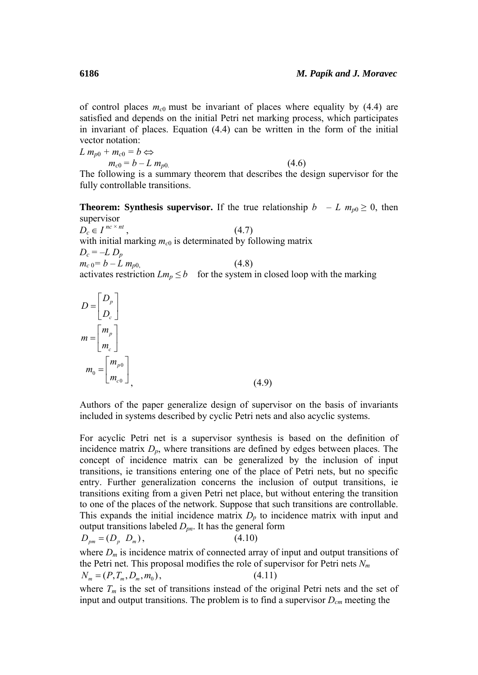of control places  $m_{c0}$  must be invariant of places where equality by (4.4) are satisfied and depends on the initial Petri net marking process, which participates in invariant of places. Equation (4.4) can be written in the form of the initial vector notation:

 $L m_{p0} + m_{c0} = b \Leftrightarrow$  $m_{c0} = b - L \, m_{p0}$  (4.6) The following is a summary theorem that describes the design supervisor for the

**Theorem: Synthesis supervisor.** If the true relationship *b – L m<sub>p*0</sub>  $\geq$  0, then

supervisor  $D_c \in I^{nc \times nt}$ , (4.7) with initial marking  $m_{c0}$  is determinated by following matrix  $D_c = -L D_p$  $m_{c} = b - L \, m_{p0}$  (4.8) activates restriction  $Lm_p \leq b$  for the system in closed loop with the marking

$$
D = \begin{bmatrix} D_p \\ D_c \end{bmatrix}
$$
  
\n
$$
m = \begin{bmatrix} m_p \\ m_c \end{bmatrix}
$$
  
\n
$$
m_0 = \begin{bmatrix} m_{p0} \\ m_{c0} \end{bmatrix}
$$
\n(4.9)

Authors of the paper generalize design of supervisor on the basis of invariants included in systems described by cyclic Petri nets and also acyclic systems.

For acyclic Petri net is a supervisor synthesis is based on the definition of incidence matrix *Dp*, where transitions are defined by edges between places. The concept of incidence matrix can be generalized by the inclusion of input transitions, ie transitions entering one of the place of Petri nets, but no specific entry. Further generalization concerns the inclusion of output transitions, ie transitions exiting from a given Petri net place, but without entering the transition to one of the places of the network. Suppose that such transitions are controllable. This expands the initial incidence matrix  $D_p$  to incidence matrix with input and output transitions labeled *Dpn*. It has the general form

$$
D_{pm} = (D_p \ D_m), \tag{4.10}
$$

where  $D_m$  is incidence matrix of connected array of input and output transitions of the Petri net. This proposal modifies the role of supervisor for Petri nets  $N_m$  $N_m = (P, T_m, D_m, m_0),$  (4.11)

where  $T_m$  is the set of transitions instead of the original Petri nets and the set of input and output transitions. The problem is to find a supervisor  $D_{cm}$  meeting the

fully controllable transitions.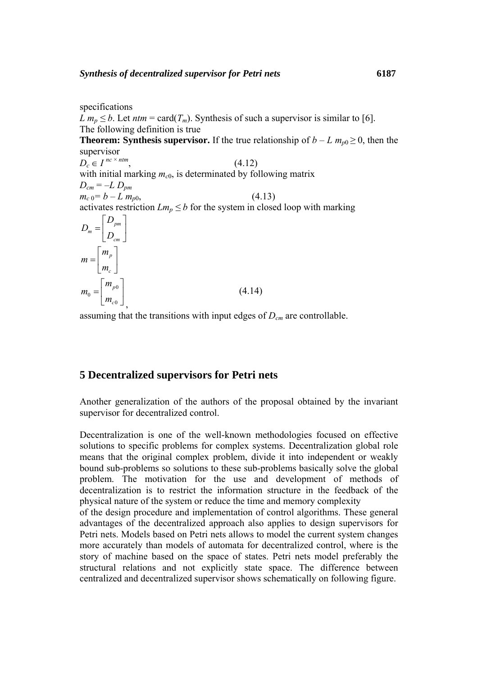specifications *L*  $m_p \leq b$ . Let  $ntm = \text{card}(T_m)$ . Synthesis of such a supervisor is similar to [6]. The following definition is true **Theorem: Synthesis supervisor.** If the true relationship of  $b - L m_{p0} \ge 0$ , then the supervisor  $D_c \in I^{nc \times ntm}$ , (4.12) with initial marking  $m_{c0}$ , is determinated by following matrix  $D_{cm} = -L D_{pm}$  $m_{c} = b - L \, m_{p0}$ , (4.13) activates restriction  $Lm_p \leq b$  for the system in closed loop with marking *pm m cm D D*  $=\left[\begin{array}{c} D_{pm}\ D_{cm} \end{array}\right]$ *p c m m*  $=\begin{bmatrix} m_p \\ m_c \end{bmatrix}$ 0 0 0 *p c m m*  $=\begin{bmatrix} m_{p0} \\ m_{c0} \end{bmatrix},$ (4.14)

assuming that the transitions with input edges of *Dcm* are controllable.

# **5 Decentralized supervisors for Petri nets**

Another generalization of the authors of the proposal obtained by the invariant supervisor for decentralized control.

Decentralization is one of the well-known methodologies focused on effective solutions to specific problems for complex systems. Decentralization global role means that the original complex problem, divide it into independent or weakly bound sub-problems so solutions to these sub-problems basically solve the global problem. The motivation for the use and development of methods of decentralization is to restrict the information structure in the feedback of the physical nature of the system or reduce the time and memory complexity

of the design procedure and implementation of control algorithms. These general advantages of the decentralized approach also applies to design supervisors for Petri nets. Models based on Petri nets allows to model the current system changes more accurately than models of automata for decentralized control, where is the story of machine based on the space of states. Petri nets model preferably the structural relations and not explicitly state space. The difference between centralized and decentralized supervisor shows schematically on following figure.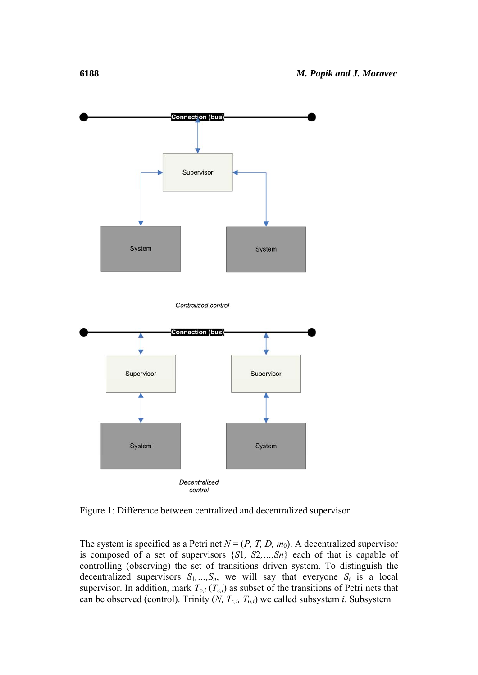

Figure 1: Difference between centralized and decentralized supervisor

The system is specified as a Petri net  $N = (P, T, D, m_0)$ . A decentralized supervisor is composed of a set of supervisors {*S*1*, S*2*,…,Sn*} each of that is capable of controlling (observing) the set of transitions driven system. To distinguish the decentralized supervisors  $S_1, \ldots, S_n$ , we will say that everyone  $S_i$  is a local supervisor. In addition, mark  $T_{0,i}$  ( $T_{c,i}$ ) as subset of the transitions of Petri nets that can be observed (control). Trinity  $(N, T_{c,i}, T_{o,i})$  we called subsystem *i*. Subsystem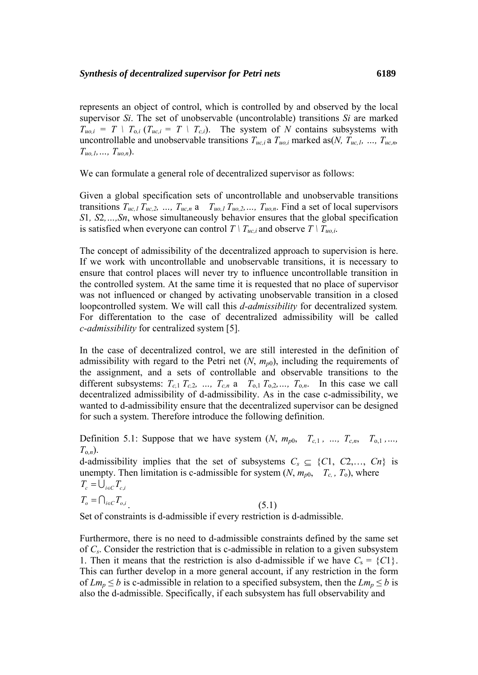represents an object of control, which is controlled by and observed by the local supervisor *Si*. The set of unobservable (uncontrolable) transitions *Si* are marked  $T_{u0,i} = T \mid T_{0,i}$  ( $T_{uc,i} = T \mid T_{c,i}$ ). The system of *N* contains subsystems with uncontrollable and unobservable transitions  $T_{uc,i}$  a  $T_{uo,i}$  marked as(*N*,  $T_{uc,i}$ , ...,  $T_{uc,n}$  $T_{uo,1}, \ldots, T_{uo,n}$ ).

We can formulate a general role of decentralized supervisor as follows:

Given a global specification sets of uncontrollable and unobservable transitions transitions  $T_{uc,1} T_{uc,2}$ , ...,  $T_{uc,n}$  a  $T_{uo,1} T_{uo,2}$ , ...,  $T_{uo,n}$ . Find a set of local supervisors *S*1*, S*2*,…,Sn*, whose simultaneously behavior ensures that the global specification is satisfied when everyone can control  $T \mid T_{uc,i}$  and observe  $T \mid T_{uo,i}$ .

The concept of admissibility of the decentralized approach to supervision is here. If we work with uncontrollable and unobservable transitions, it is necessary to ensure that control places will never try to influence uncontrollable transition in the controlled system. At the same time it is requested that no place of supervisor was not influenced or changed by activating unobservable transition in a closed loopcontrolled system. We will call this *d-admissibility* for decentralized system*.* For differentation to the case of decentralized admissibility will be called *c-admissibility* for centralized system [5].

In the case of decentralized control, we are still interested in the definition of admissibility with regard to the Petri net  $(N, m_{p0})$ , including the requirements of the assignment, and a sets of controllable and observable transitions to the different subsystems:  $T_{c,1}$   $T_{c,2}$ , ...,  $T_{c,n}$  a  $T_{0,1}$   $T_{0,2}$ , ...,  $T_{0,n}$ . In this case we call decentralized admissibility of d-admissibility. As in the case c-admissibility, we wanted to d-admissibility ensure that the decentralized supervisor can be designed for such a system. Therefore introduce the following definition.

Definition 5.1: Suppose that we have system  $(N, m_{p0}, T_{c,1}, ..., T_{c,n}, T_{0.1},...$  $T_{o,n}$ ).

d-admissibility implies that the set of subsystems  $C_s \subseteq \{C1, C2, \ldots, Cn\}$  is unempty. Then limitation is c-admissible for system  $(N, m_{p0}, T_c, T_o)$ , where  $T_c = \bigcup_{i \in C} T_{c,i}$  $T_o = \bigcap_{i \in C} T_{o,i}$  (5.1)

Set of constraints is d-admissible if every restriction is d-admissible.

Furthermore, there is no need to d-admissible constraints defined by the same set of *Cs*. Consider the restriction that is c-admissible in relation to a given subsystem 1. Then it means that the restriction is also d-admissible if we have  $C_s = \{C_1\}$ . This can further develop in a more general account, if any restriction in the form of  $Lm_p \leq b$  is c-admissible in relation to a specified subsystem, then the  $Lm_p \leq b$  is also the d-admissible. Specifically, if each subsystem has full observability and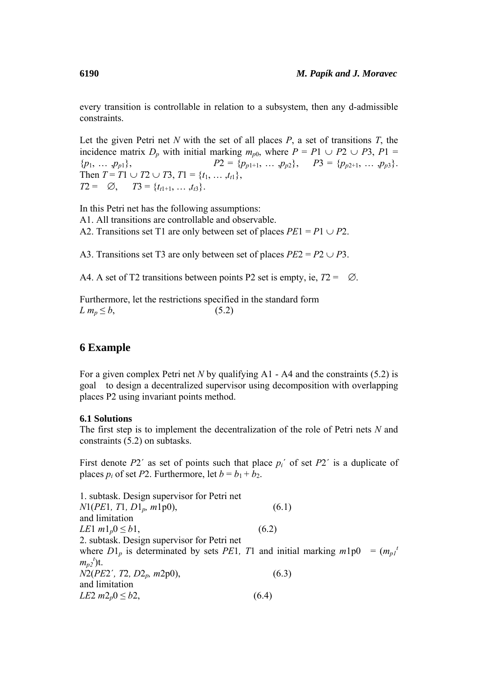every transition is controllable in relation to a subsystem, then any d-admissible constraints.

Let the given Petri net *N* with the set of all places *P*, a set of transitions *T*, the incidence matrix  $D_p$  with initial marking  $m_{p0}$ , where  $P = P1 \cup P2 \cup P3$ ,  $P1 =$  ${p_1, ..., p_{p1}},$   $P_2 = {p_{p1+1}, ..., p_{p2}},$   $P_3 = {p_{p2+1}, ..., p_{p3}}.$ Then *T* = *T*1 ∪ *T*2 ∪ *T*3, *T*1 = {*t*<sub>1</sub>, …, *t*<sub>t1</sub>},  $T2 = \emptyset$ ,  $T3 = \{t_{t1+1}, \ldots, t_{t3}\}.$ 

In this Petri net has the following assumptions: A1. All transitions are controllable and observable. A2. Transitions set T1 are only between set of places  $PE1 = P1 \cup P2$ .

A3. Transitions set T3 are only between set of places  $PE2 = P2 \cup P3$ .

A4. A set of T2 transitions between points P2 set is empty, ie, *T*2 = ∅.

Furthermore, let the restrictions specified in the standard form  $L m_p \leq b$ , (5.2)

# **6 Example**

For a given complex Petri net *N* by qualifying A1 - A4 and the constraints (5.2) is goal to design a decentralized supervisor using decomposition with overlapping places P2 using invariant points method.

### **6.1 Solutions**

The first step is to implement the decentralization of the role of Petri nets *N* and constraints (5.2) on subtasks.

First denote *P*2´ as set of points such that place *pi*´ of set *P*2´ is a duplicate of places  $p_i$  of set *P*2. Furthermore, let  $b = b_1 + b_2$ .

1. subtask. Design supervisor for Petri net *N*1(*PE*1*, T*1*, D*1*p, m*1p0), (6.1) and limitation *LE*1  $m1_p 0 \le b1$ , (6.2) 2. subtask. Design supervisor for Petri net where  $D1_p$  is determinated by sets *PE*1, *T*1 and initial marking  $m1p0 = (m_p1^t)$  $m_{p2}^t$ <sup>t</sup>)t. *N*2(*PE*2´*, T*2*, D*2*p, m*2p0), (6.3) and limitation *LE*2  $m2_p$ <sup>0</sup>  $\leq b2$ , (6.4)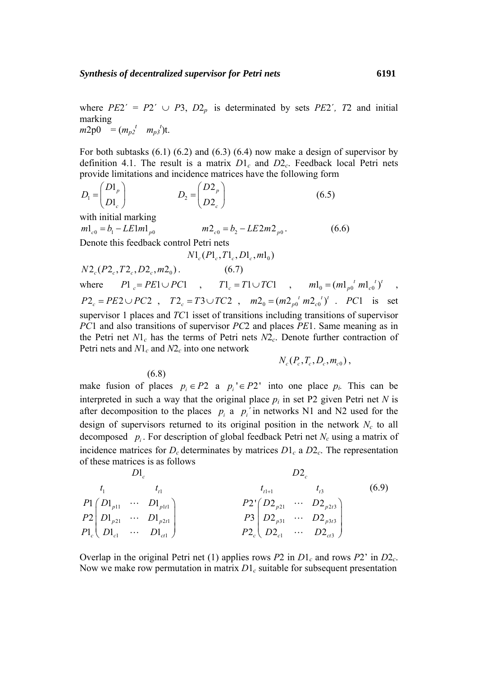where  $PE2' = P2' \cup P3$ ,  $D2_p$  is determinated by sets  $PE2'$ ,  $T2$  and initial marking  $m2p0 = (m_{p2}^t m_{p3}^t)$ t.

For both subtasks  $(6.1)$   $(6.2)$  and  $(6.3)$   $(6.4)$  now make a design of supervisor by definition 4.1. The result is a matrix  $D1_c$  and  $D2_c$ . Feedback local Petri nets provide limitations and incidence matrices have the following form

$$
D_1 = \begin{pmatrix} D1_p \\ D1_c \end{pmatrix} \qquad D_2 = \begin{pmatrix} D2_p \\ D2_c \end{pmatrix} \tag{6.5}
$$

with initial marking

$$
m1_{c0} = b_1 - LE1m1_{p0} \qquad m2_{c0} = b_2 - LE2m2_{p0} \,.
$$

Denote this feedback control Petri nets

(6.8)

$$
N1_c(P1_c, T1_c, D1_c, m1_0)
$$

 $N2_{\alpha}(P2_{\alpha}, T2_{\alpha}, D2_{\alpha}, m2_{\alpha})$  (6.7) where  $PI_c = PE1 \cup PC1$ ,  $TI_c = T1 \cup TC1$ ,  $ml_0 = (m1_{p0}^{t} m1_{c0}^{t})^{t}$ ,  $P2_c = PE2 \cup PC2$ ,  $T2_c = T3 \cup TC2$ ,  $m2_0 = (m2_{p0}^{t} m2_{c0}^{t})^t$ . *PC*1 is set supervisor 1 places and *TC*1 isset of transitions including transitions of supervisor *PC*1 and also transitions of supervisor *PC*2 and places *PE*1. Same meaning as in the Petri net  $N_1$ <sup>c</sup> has the terms of Petri nets  $N_2$ <sup>c</sup>. Denote further contraction of Petri nets and  $N1_c$  and  $N2_c$  into one network

$$
N_c(P_c,T_c,D_c,m_{c0}),
$$

make fusion of places  $p_i \in P2$  a  $p_i' \in P2'$  into one place  $p_i$ . This can be interpreted in such a way that the original place  $p_i$  in set P2 given Petri net *N* is after decomposition to the places  $p_i$  a  $p_i$  in networks N1 and N2 used for the design of supervisors returned to its original position in the network  $N_c$  to all decomposed  $p_i$ . For description of global feedback Petri net  $N_c$  using a matrix of incidence matrices for  $D_c$  determinates by matrices  $D_1_c$  a  $D_2_c$ . The representation of these matrices is as follows

1  $\epsilon_{t1}$  $11$   $D_1$ <sub>pltl</sub> 21  $\cdots$   $D_{1}$ <sub>p2tl</sub>  $\mathbf{L}_{\text{cl}}$  $D1_c$  $21/D1_{n11} \cdots D1$  $2|D1_{n21} \cdots D1$  $P1_c$ ,  $D1_{c1}$   $\cdots$   $D1$ *t*  $p_{11}$   $D_{1}$ <sub>plt</sub>  $p_{21}$   $\cdots$   $D_{1}$ <sub> $p_{2t}$ </sub>  $c \setminus D_{c}$ <sup>r</sup><sub>cl</sub>  $D_{c}$ <sub>r</sub>  $t_1$  t  $P_1(D_1, \ldots, D)$  $P2 \mid D1_{n21} \quad \cdots \quad D$  $P1_c \left( D1_c \right)$   $\cdots$  *D*  $\begin{pmatrix} D1_{p11} & \cdots & D1_{p1t1} \\ D1 & & D1 \end{pmatrix}$  $\left(\begin{array}{ccc} D\end{array}\right]_{c1} \cdots \cdots \cdots \cdots \cdots \cdots \cdots \cdots \cdots$  $\ddots$  $\ddots$  $\ddots$  $t_{t1+1}$   $t_{t3}$ 21  $D \angle_{p2t3}$ 31  $D_{p3t3}$  $\mathbf{D2}_{ct3}$  $D2_c$  $2^{r} (D2_{n21} \cdots D2)$  $3|D2_{n31} \cdots D2$  $2c \mid D2_{c1} \quad \cdots \quad D2$  $t_{1}$   $t_{1}$  $p_{21}$   $D_{2p_{2i}}$  $p31$   $D2_{p31}$  $c \left( \begin{array}{ccc} D_2 c_1 & \cdots & D_2 c_n \end{array} \right)$  $t_{t+1}$   $t$  $P2' (D2_{n21} \cdots D)$  $P3 \mid D2_{n31} \quad \cdots \quad D$  $P2_c$   $D2_{c1}$   $\cdots$  *D*  $t_{t1+}$  $\begin{pmatrix} D2_{p21} & \cdots & D2_{p2t3} \\ D2 & & D2 \end{pmatrix}$  $\left(\begin{array}{ccc} D2_{c1} & \cdots & D2_{ct3} \end{array}\right)$  $\ddots$  $\ddots$  $\ddots$ (6.9)

Overlap in the original Petri net (1) applies rows  $P2$  in  $D1_c$  and rows  $P2'$  in  $D2_c$ . Now we make row permutation in matrix  $D_1$ <sub>c</sub> suitable for subsequent presentation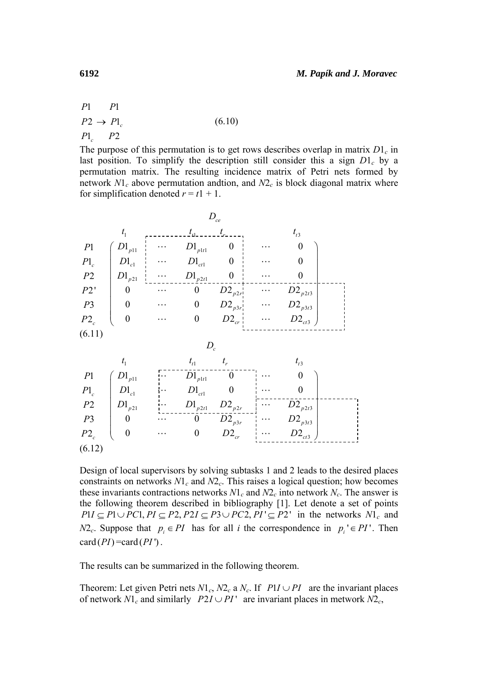$P1$  $P2 \rightarrow P1_c$  $P1_c$   $P2$ *P*1 *P* (6.10)

The purpose of this permutation is to get rows describes overlap in matrix  $D_1$ <sup>c</sup> in last position. To simplify the description still consider this a sign  $D_1^c$  by a permutation matrix. The resulting incidence matrix of Petri nets formed by network  $N1_c$  above permutation andtion, and  $N2_c$  is block diagonal matrix where for simplification denoted  $r = t_1 + 1$ .



Design of local supervisors by solving subtasks 1 and 2 leads to the desired places constraints on networks  $NI_c$  and  $N2_c$ . This raises a logical question; how becomes these invariants contractions networks  $N_1_c$  and  $N_2_c$  into network  $N_c$ . The answer is the following theorem described in bibliography [1]. Let denote a set of points  $P1I \subseteq P1 \cup PC1, PI \subseteq P2, P2I \subseteq P3 \cup PC2, PI' \subseteq P2'$  in the networks  $N1_c$  and *N*2<sub>c</sub>. Suppose that  $p_i \in PI$  has for all *i* the correspondence in  $p_i' \in PI'$ . Then  $card (PI) = card (PI)$ .

The results can be summarized in the following theorem.

Theorem: Let given Petri nets  $N1_c$ ,  $N2_c$  a  $N_c$ . If  $PII \cup PI$  are the invariant places of network  $N_1$ <sup>c</sup> and similarly  $P_2 I \cup P_1$ <sup>T</sup> are invariant places in metwork  $N_2$ <sup>2</sup><sub>c</sub>,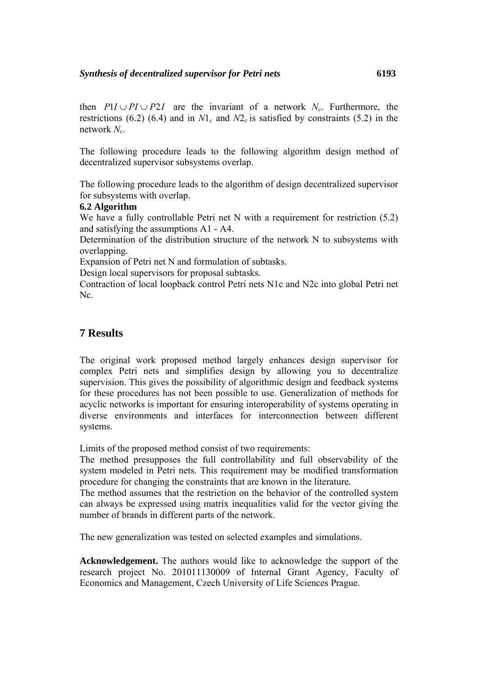then  $PI \cup PI \cup P2I$  are the invariant of a network *N<sub>c</sub>*. Furthermore, the restrictions (6.2) (6.4) and in  $N_1$ <sup>c</sup> and  $N_2$ <sup>c</sup> is satisfied by constraints (5.2) in the network *Nc*.

The following procedure leads to the following algorithm design method of decentralized supervisor subsystems overlap.

The following procedure leads to the algorithm of design decentralized supervisor for subsystems with overlap.

### **6.2 Algorithm**

We have a fully controllable Petri net N with a requirement for restriction (5.2) and satisfying the assumptions A1 - A4.

Determination of the distribution structure of the network N to subsystems with overlapping.

Expansion of Petri net N and formulation of subtasks.

Design local supervisors for proposal subtasks.

Contraction of local loopback control Petri nets N1c and N2c into global Petri net Nc.

# **7 Results**

The original work proposed method largely enhances design supervisor for complex Petri nets and simplifies design by allowing you to decentralize supervision. This gives the possibility of algorithmic design and feedback systems for these procedures has not been possible to use. Generalization of methods for acyclic networks is important for ensuring interoperability of systems operating in diverse environments and interfaces for interconnection between different systems.

Limits of the proposed method consist of two requirements:

The method presupposes the full controllability and full observability of the system modeled in Petri nets. This requirement may be modified transformation procedure for changing the constraints that are known in the literature.

The method assumes that the restriction on the behavior of the controlled system can always be expressed using matrix inequalities valid for the vector giving the number of brands in different parts of the network.

The new generalization was tested on selected examples and simulations.

**Acknowledgement.** The authors would like to acknowledge the support of the research project No. 201011130009 of Internal Grant Agency, Faculty of Economics and Management, Czech University of Life Sciences Prague.